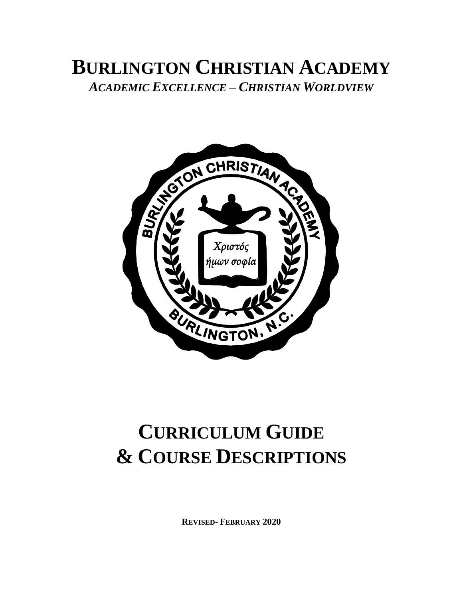# **BURLINGTON CHRISTIAN ACADEMY** *ACADEMIC EXCELLENCE – CHRISTIAN WORLDVIEW*



# **CURRICULUM GUIDE & COURSE DESCRIPTIONS**

**REVISED- FEBRUARY 2020**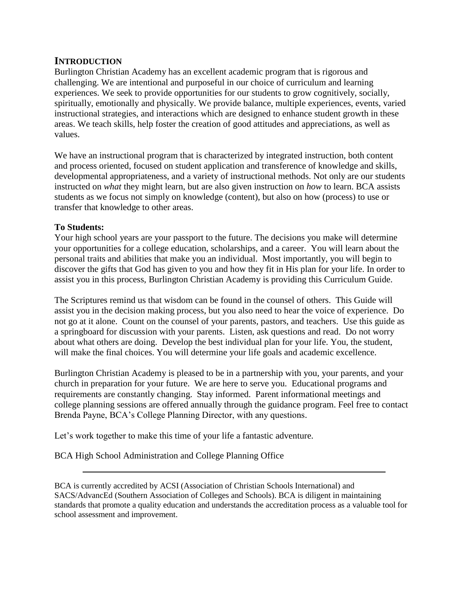#### **INTRODUCTION**

Burlington Christian Academy has an excellent academic program that is rigorous and challenging. We are intentional and purposeful in our choice of curriculum and learning experiences. We seek to provide opportunities for our students to grow cognitively, socially, spiritually, emotionally and physically. We provide balance, multiple experiences, events, varied instructional strategies, and interactions which are designed to enhance student growth in these areas. We teach skills, help foster the creation of good attitudes and appreciations, as well as values.

We have an instructional program that is characterized by integrated instruction, both content and process oriented, focused on student application and transference of knowledge and skills, developmental appropriateness, and a variety of instructional methods. Not only are our students instructed on *what* they might learn, but are also given instruction on *how* to learn. BCA assists students as we focus not simply on knowledge (content), but also on how (process) to use or transfer that knowledge to other areas.

#### **To Students:**

Your high school years are your passport to the future. The decisions you make will determine your opportunities for a college education, scholarships, and a career. You will learn about the personal traits and abilities that make you an individual. Most importantly, you will begin to discover the gifts that God has given to you and how they fit in His plan for your life. In order to assist you in this process, Burlington Christian Academy is providing this Curriculum Guide.

The Scriptures remind us that wisdom can be found in the counsel of others. This Guide will assist you in the decision making process, but you also need to hear the voice of experience. Do not go at it alone. Count on the counsel of your parents, pastors, and teachers. Use this guide as a springboard for discussion with your parents. Listen, ask questions and read. Do not worry about what others are doing. Develop the best individual plan for your life. You, the student, will make the final choices. You will determine your life goals and academic excellence.

Burlington Christian Academy is pleased to be in a partnership with you, your parents, and your church in preparation for your future. We are here to serve you. Educational programs and requirements are constantly changing. Stay informed. Parent informational meetings and college planning sessions are offered annually through the guidance program. Feel free to contact Brenda Payne, BCA's College Planning Director, with any questions.

Let's work together to make this time of your life a fantastic adventure.

BCA High School Administration and College Planning Office

BCA is currently accredited by ACSI (Association of Christian Schools International) and SACS/AdvancEd (Southern Association of Colleges and Schools). BCA is diligent in maintaining standards that promote a quality education and understands the accreditation process as a valuable tool for school assessment and improvement.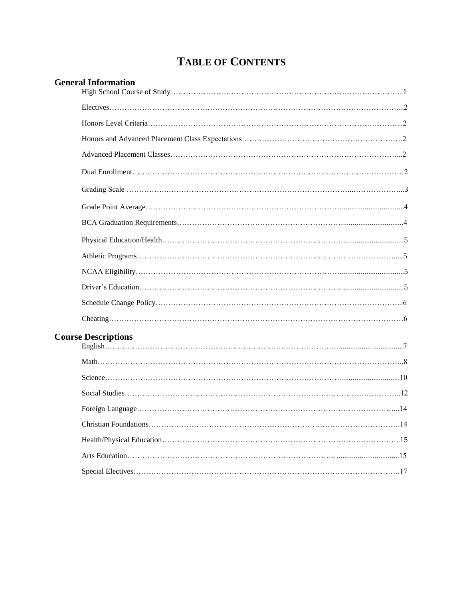## **TABLE OF CONTENTS**

| <b>General Information</b> |
|----------------------------|
|                            |
|                            |
|                            |
|                            |
|                            |
|                            |
|                            |
|                            |
|                            |
|                            |
|                            |
|                            |
|                            |
|                            |
| <b>Course Descriptions</b> |
|                            |
|                            |
|                            |
|                            |
|                            |
|                            |
|                            |
|                            |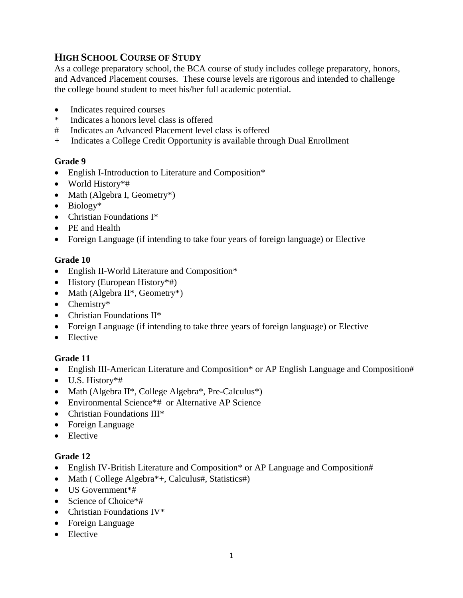#### **HIGH SCHOOL COURSE OF STUDY**

As a college preparatory school, the BCA course of study includes college preparatory, honors, and Advanced Placement courses. These course levels are rigorous and intended to challenge the college bound student to meet his/her full academic potential.

- Indicates required courses
- \* Indicates a honors level class is offered
- # Indicates an Advanced Placement level class is offered
- + Indicates a College Credit Opportunity is available through Dual Enrollment

#### **Grade 9**

- English I-Introduction to Literature and Composition\*
- World History\*#
- Math (Algebra I, Geometry\*)
- Biology\*
- Christian Foundations I<sup>\*</sup>
- PE and Health
- Foreign Language (if intending to take four years of foreign language) or Elective

#### **Grade 10**

- English II-World Literature and Composition\*
- History (European History \*#)
- Math (Algebra  $II^*$ , Geometry<sup>\*</sup>)
- Chemistry\*
- Christian Foundations II\*
- Foreign Language (if intending to take three years of foreign language) or Elective
- Elective

#### **Grade 11**

- English III-American Literature and Composition\* or AP English Language and Composition#
- U.S. History\*#
- Math (Algebra II\*, College Algebra\*, Pre-Calculus\*)
- Environmental Science<sup>\*#</sup> or Alternative AP Science
- Christian Foundations III\*
- Foreign Language
- Elective

#### **Grade 12**

- English IV-British Literature and Composition\* or AP Language and Composition#
- Math ( College Algebra<sup>\*</sup>+, Calculus#, Statistics#)
- US Government<sup>\*#</sup>
- Science of Choice<sup>\*#</sup>
- Christian Foundations IV<sup>\*</sup>
- Foreign Language
- Elective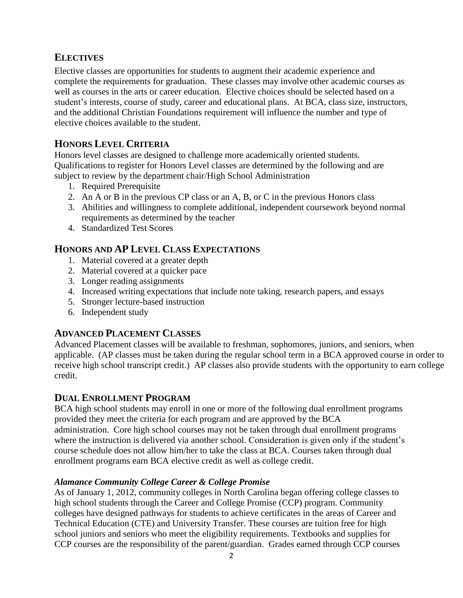#### **ELECTIVES**

Elective classes are opportunities for students to augment their academic experience and complete the requirements for graduation. These classes may involve other academic courses as well as courses in the arts or career education. Elective choices should be selected based on a student's interests, course of study, career and educational plans. At BCA, class size, instructors, and the additional Christian Foundations requirement will influence the number and type of elective choices available to the student.

#### **HONORS LEVEL CRITERIA**

Honors level classes are designed to challenge more academically oriented students. Qualifications to register for Honors Level classes are determined by the following and are subject to review by the department chair/High School Administration

- 1. Required Prerequisite
- 2. An A or B in the previous CP class or an A, B, or C in the previous Honors class
- 3. Abilities and willingness to complete additional, independent coursework beyond normal requirements as determined by the teacher
- 4. Standardized Test Scores

#### **HONORS AND AP LEVEL CLASS EXPECTATIONS**

- 1. Material covered at a greater depth
- 2. Material covered at a quicker pace
- 3. Longer reading assignments
- 4. Increased writing expectations that include note taking, research papers, and essays
- 5. Stronger lecture-based instruction
- 6. Independent study

#### **ADVANCED PLACEMENT CLASSES**

Advanced Placement classes will be available to freshman, sophomores, juniors, and seniors, when applicable. (AP classes must be taken during the regular school term in a BCA approved course in order to receive high school transcript credit.) AP classes also provide students with the opportunity to earn college credit.

#### **DUAL ENROLLMENT PROGRAM**

BCA high school students may enroll in one or more of the following dual enrollment programs provided they meet the criteria for each program and are approved by the BCA administration. Core high school courses may not be taken through dual enrollment programs where the instruction is delivered via another school. Consideration is given only if the student's course schedule does not allow him/her to take the class at BCA. Courses taken through dual enrollment programs earn BCA elective credit as well as college credit.

#### *Alamance Community College Career & College Promise*

As of January 1, 2012, community colleges in North Carolina began offering college classes to high school students through the Career and College Promise (CCP) program. Community colleges have designed pathways for students to achieve certificates in the areas of Career and Technical Education (CTE) and University Transfer. These courses are tuition free for high school juniors and seniors who meet the eligibility requirements. Textbooks and supplies for CCP courses are the responsibility of the parent/guardian. Grades earned through CCP courses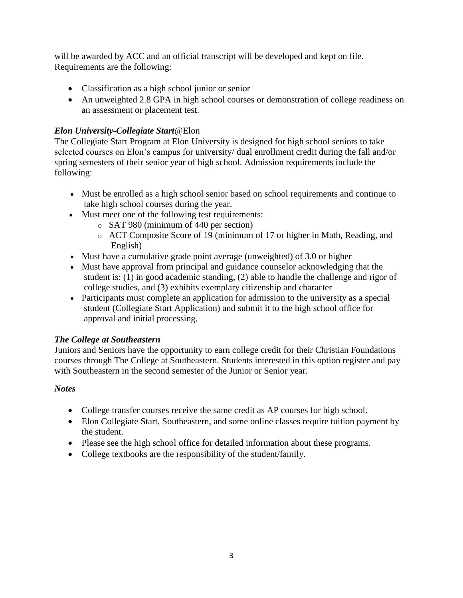will be awarded by ACC and an official transcript will be developed and kept on file. Requirements are the following:

- Classification as a high school junior or senior
- An unweighted 2.8 GPA in high school courses or demonstration of college readiness on an assessment or placement test.

#### *Elon University-Collegiate Start*@Elon

The Collegiate Start Program at Elon University is designed for high school seniors to take selected courses on Elon's campus for university/ dual enrollment credit during the fall and/or spring semesters of their senior year of high school. Admission requirements include the following:

- Must be enrolled as a high school senior based on school requirements and continue to take high school courses during the year.
- Must meet one of the following test requirements:
	- o SAT 980 (minimum of 440 per section)
	- o ACT Composite Score of 19 (minimum of 17 or higher in Math, Reading, and English)
- Must have a cumulative grade point average (unweighted) of 3.0 or higher
- Must have approval from principal and guidance counselor acknowledging that the student is: (1) in good academic standing, (2) able to handle the challenge and rigor of college studies, and (3) exhibits exemplary citizenship and character
- Participants must complete an application for admission to the university as a special student (Collegiate Start Application) and submit it to the high school office for approval and initial processing.

#### *The College at Southeastern*

Juniors and Seniors have the opportunity to earn college credit for their Christian Foundations courses through The College at Southeastern. Students interested in this option register and pay with Southeastern in the second semester of the Junior or Senior year.

#### *Notes*

- College transfer courses receive the same credit as AP courses for high school.
- Elon Collegiate Start, Southeastern, and some online classes require tuition payment by the student.
- Please see the high school office for detailed information about these programs.
- College textbooks are the responsibility of the student/family.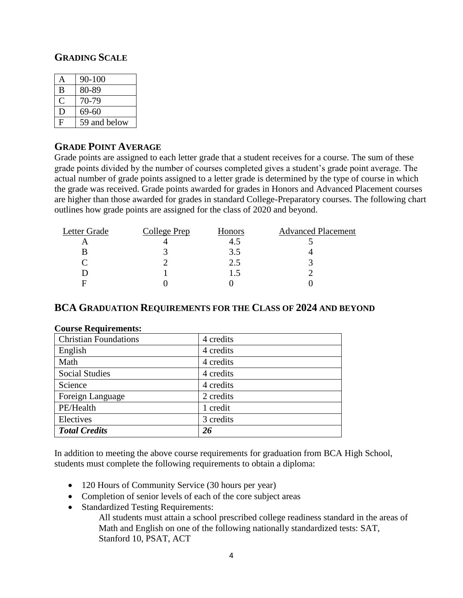#### **GRADING SCALE**

| А | 90-100       |
|---|--------------|
| B | 80-89        |
|   | 70-79        |
| D | 69-60        |
| F | 59 and below |

#### **GRADE POINT AVERAGE**

Grade points are assigned to each letter grade that a student receives for a course. The sum of these grade points divided by the number of courses completed gives a student's grade point average. The actual number of grade points assigned to a letter grade is determined by the type of course in which the grade was received. Grade points awarded for grades in Honors and Advanced Placement courses are higher than those awarded for grades in standard College-Preparatory courses. The following chart outlines how grade points are assigned for the class of 2020 and beyond.

| Letter Grade | College Prep | Honors | <b>Advanced Placement</b> |
|--------------|--------------|--------|---------------------------|
|              |              | 4.5    |                           |
|              |              | 3.5    |                           |
|              |              | 2.5    |                           |
|              |              | L.)    |                           |
| E            |              |        |                           |
|              |              |        |                           |

#### **BCA GRADUATION REQUIREMENTS FOR THE CLASS OF 2024 AND BEYOND**

| 4 credits |
|-----------|
| 4 credits |
| 4 credits |
| 4 credits |
| 4 credits |
| 2 credits |
| 1 credit  |
| 3 credits |
| 26        |
|           |

#### **Course Requirements:**

In addition to meeting the above course requirements for graduation from BCA High School, students must complete the following requirements to obtain a diploma:

- 120 Hours of Community Service (30 hours per year)
- Completion of senior levels of each of the core subject areas
- Standardized Testing Requirements:

All students must attain a school prescribed college readiness standard in the areas of Math and English on one of the following nationally standardized tests: SAT, Stanford 10, PSAT, ACT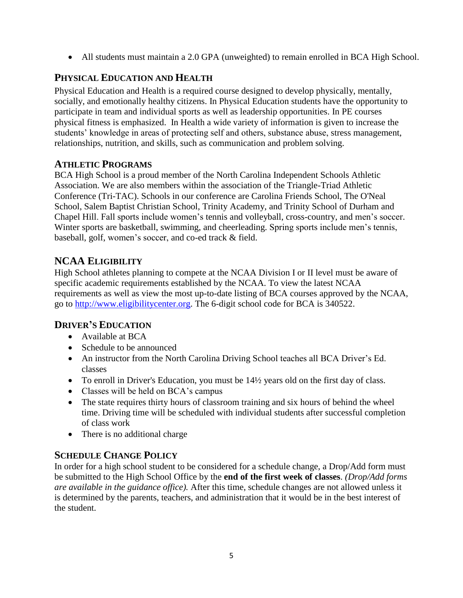• All students must maintain a 2.0 GPA (unweighted) to remain enrolled in BCA High School.

#### **PHYSICAL EDUCATION AND HEALTH**

Physical Education and Health is a required course designed to develop physically, mentally, socially, and emotionally healthy citizens. In Physical Education students have the opportunity to participate in team and individual sports as well as leadership opportunities. In PE courses physical fitness is emphasized. In Health a wide variety of information is given to increase the students' knowledge in areas of protecting self and others, substance abuse, stress management, relationships, nutrition, and skills, such as communication and problem solving.

#### **ATHLETIC PROGRAMS**

BCA High School is a proud member of the North Carolina Independent Schools Athletic Association. We are also members within the association of the Triangle-Triad Athletic Conference (Tri-TAC). Schools in our conference are Carolina Friends School, The O'Neal School, Salem Baptist Christian School, Trinity Academy, and Trinity School of Durham and Chapel Hill. Fall sports include women's tennis and volleyball, cross-country, and men's soccer. Winter sports are basketball, swimming, and cheerleading. Spring sports include men's tennis, baseball, golf, women's soccer, and co-ed track & field.

#### **NCAA ELIGIBILITY**

High School athletes planning to compete at the NCAA Division I or II level must be aware of specific academic requirements established by the NCAA. To view the latest NCAA requirements as well as view the most up-to-date listing of BCA courses approved by the NCAA, go to [http://www.eligibilitycenter.org.](http://www.eligibilitycenter.org/) The 6-digit school code for BCA is 340522.

#### **DRIVER'S EDUCATION**

- Available at BCA
- Schedule to be announced
- An instructor from the North Carolina Driving School teaches all BCA Driver's Ed. classes
- To enroll in Driver's Education, you must be  $14\frac{1}{2}$  years old on the first day of class.
- Classes will be held on BCA's campus
- The state requires thirty hours of classroom training and six hours of behind the wheel time. Driving time will be scheduled with individual students after successful completion of class work
- There is no additional charge

#### **SCHEDULE CHANGE POLICY**

In order for a high school student to be considered for a schedule change, a Drop/Add form must be submitted to the High School Office by the **end of the first week of classes**. *(Drop/Add forms are available in the guidance office).* After this time, schedule changes are not allowed unless it is determined by the parents, teachers, and administration that it would be in the best interest of the student.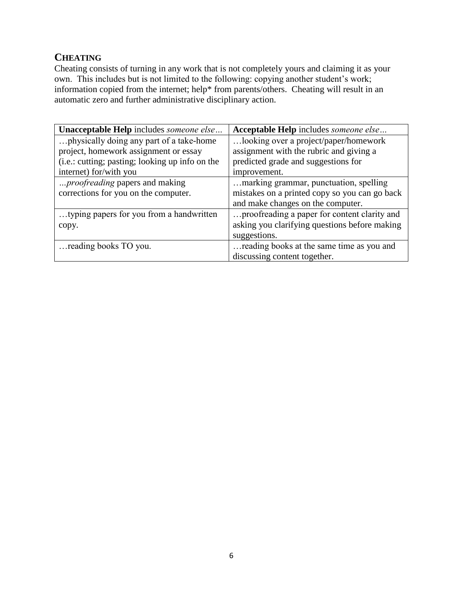#### **CHEATING**

Cheating consists of turning in any work that is not completely yours and claiming it as your own. This includes but is not limited to the following: copying another student's work; information copied from the internet; help\* from parents/others. Cheating will result in an automatic zero and further administrative disciplinary action.

| Unacceptable Help includes someone else         | Acceptable Help includes someone else         |
|-------------------------------------------------|-----------------------------------------------|
| physically doing any part of a take-home        | looking over a project/paper/homework         |
| project, homework assignment or essay           | assignment with the rubric and giving a       |
| (i.e.: cutting; pasting; looking up info on the | predicted grade and suggestions for           |
| internet) for/with you                          | improvement.                                  |
| <i>proofreading</i> papers and making           | marking grammar, punctuation, spelling        |
| corrections for you on the computer.            | mistakes on a printed copy so you can go back |
|                                                 | and make changes on the computer.             |
| typing papers for you from a handwritten        | proofreading a paper for content clarity and  |
| copy.                                           | asking you clarifying questions before making |
|                                                 | suggestions.                                  |
| reading books TO you.                           | reading books at the same time as you and     |
|                                                 | discussing content together.                  |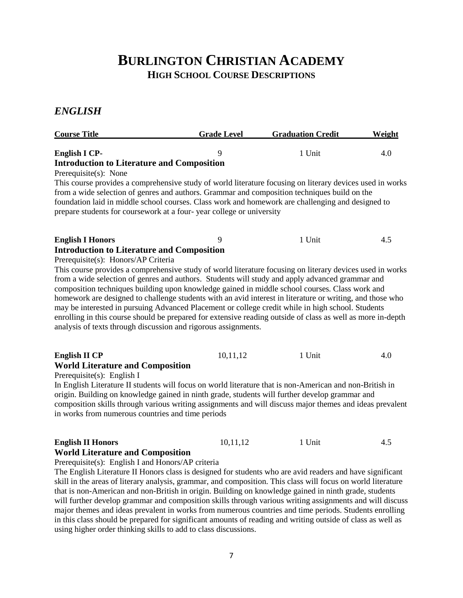### **BURLINGTON CHRISTIAN ACADEMY HIGH SCHOOL COURSE DESCRIPTIONS**

#### *ENGLISH*

| <b>Course Title</b>                                                                                         | <b>Grade Level</b> | <b>Graduation Credit</b> | Weight |
|-------------------------------------------------------------------------------------------------------------|--------------------|--------------------------|--------|
| <b>English I CP-</b>                                                                                        | 9                  | 1 Unit                   | 4.0    |
| <b>Introduction to Literature and Composition</b>                                                           |                    |                          |        |
| Prerequisite(s): None                                                                                       |                    |                          |        |
| This course provides a comprehensive study of world literature focusing on literary devices used in works   |                    |                          |        |
| from a wide selection of genres and authors. Grammar and composition techniques build on the                |                    |                          |        |
| foundation laid in middle school courses. Class work and homework are challenging and designed to           |                    |                          |        |
| prepare students for coursework at a four-year college or university                                        |                    |                          |        |
| <b>English I Honors</b>                                                                                     | 9                  | 1 Unit                   | 4.5    |
| <b>Introduction to Literature and Composition</b>                                                           |                    |                          |        |
| Prerequisite(s): Honors/AP Criteria                                                                         |                    |                          |        |
| This course provides a comprehensive study of world literature focusing on literary devices used in works   |                    |                          |        |
| from a wide selection of genres and authors. Students will study and apply advanced grammar and             |                    |                          |        |
| composition techniques building upon knowledge gained in middle school courses. Class work and              |                    |                          |        |
| homework are designed to challenge students with an avid interest in literature or writing, and those who   |                    |                          |        |
| may be interested in pursuing Advanced Placement or college credit while in high school. Students           |                    |                          |        |
| enrolling in this course should be prepared for extensive reading outside of class as well as more in-depth |                    |                          |        |
| analysis of texts through discussion and rigorous assignments.                                              |                    |                          |        |
| <b>English II CP</b>                                                                                        | 10,11,12           | 1 Unit                   | 4.0    |
| <b>World Literature and Composition</b>                                                                     |                    |                          |        |
| Prerequisite(s): English I                                                                                  |                    |                          |        |
| In English Literature II students will focus on world literature that is non-American and non-British in    |                    |                          |        |
| origin. Building on knowledge gained in ninth grade, students will further develop grammar and              |                    |                          |        |
| composition skills through various writing assignments and will discuss major themes and ideas prevalent    |                    |                          |        |
| in works from numerous countries and time periods                                                           |                    |                          |        |
| <b>English II Honors</b>                                                                                    | 10,11,12           | 1 Unit                   | 4.5    |
| <b>World Literature and Composition</b>                                                                     |                    |                          |        |
| Prerequisite(s): English I and Honors/AP criteria                                                           |                    |                          |        |

The English Literature II Honors class is designed for students who are avid readers and have significant skill in the areas of literary analysis, grammar, and composition. This class will focus on world literature that is non-American and non-British in origin. Building on knowledge gained in ninth grade, students will further develop grammar and composition skills through various writing assignments and will discuss major themes and ideas prevalent in works from numerous countries and time periods. Students enrolling in this class should be prepared for significant amounts of reading and writing outside of class as well as using higher order thinking skills to add to class discussions.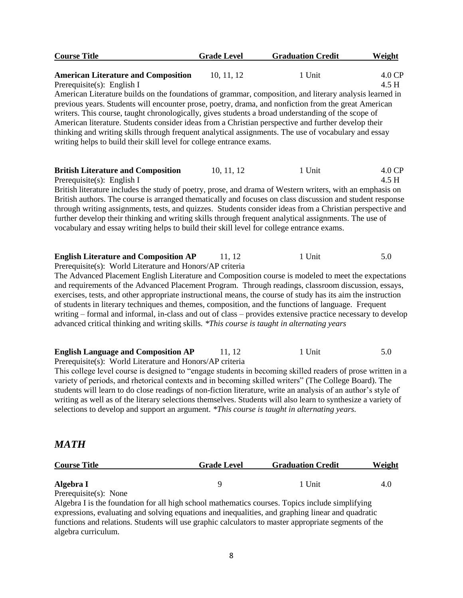| <b>Course Title</b>                                                                                                                                                                                                                                                                                                                                                                                                                                                                                                                                                                                                                                                                                                                                         | <b>Grade Level</b> | <b>Graduation Credit</b> | Weight          |
|-------------------------------------------------------------------------------------------------------------------------------------------------------------------------------------------------------------------------------------------------------------------------------------------------------------------------------------------------------------------------------------------------------------------------------------------------------------------------------------------------------------------------------------------------------------------------------------------------------------------------------------------------------------------------------------------------------------------------------------------------------------|--------------------|--------------------------|-----------------|
| <b>American Literature and Composition</b><br>Prerequisite(s): English I<br>American Literature builds on the foundations of grammar, composition, and literary analysis learned in<br>previous years. Students will encounter prose, poetry, drama, and nonfiction from the great American<br>writers. This course, taught chronologically, gives students a broad understanding of the scope of<br>American literature. Students consider ideas from a Christian perspective and further develop their<br>thinking and writing skills through frequent analytical assignments. The use of vocabulary and essay<br>writing helps to build their skill level for college entrance exams.                                                                    | 10, 11, 12         | 1 Unit                   | 4.0 CP<br>4.5 H |
| <b>British Literature and Composition</b><br>Prerequisite(s): English I<br>British literature includes the study of poetry, prose, and drama of Western writers, with an emphasis on<br>British authors. The course is arranged thematically and focuses on class discussion and student response<br>through writing assignments, tests, and quizzes. Students consider ideas from a Christian perspective and<br>further develop their thinking and writing skills through frequent analytical assignments. The use of<br>vocabulary and essay writing helps to build their skill level for college entrance exams.                                                                                                                                        | 10, 11, 12         | 1 Unit                   | 4.0 CP<br>4.5 H |
| <b>English Literature and Composition AP</b><br>Prerequisite(s): World Literature and Honors/AP criteria<br>The Advanced Placement English Literature and Composition course is modeled to meet the expectations<br>and requirements of the Advanced Placement Program. Through readings, classroom discussion, essays,<br>exercises, tests, and other appropriate instructional means, the course of study has its aim the instruction<br>of students in literary techniques and themes, composition, and the functions of language. Frequent<br>writing – formal and informal, in-class and out of class – provides extensive practice necessary to develop<br>advanced critical thinking and writing skills. *This course is taught in alternating years | 11, 12             | 1 Unit                   | 5.0             |
| <b>English Language and Composition AP</b><br>Prerequisite(s): World Literature and Honors/AP criteria<br>This college level course is designed to "engage students in becoming skilled readers of prose written in a                                                                                                                                                                                                                                                                                                                                                                                                                                                                                                                                       | 11, 12             | 1 Unit                   | 5.0             |

This college level course is designed to "engage students in becoming skilled readers of prose written in a variety of periods, and rhetorical contexts and in becoming skilled writers" (The College Board). The students will learn to do close readings of non-fiction literature, write an analysis of an author's style of writing as well as of the literary selections themselves. Students will also learn to synthesize a variety of selections to develop and support an argument. *\*This course is taught in alternating years.*

#### *MATH*

| <b>Course Title</b>   | <b>Grade Level</b> | <b>Graduation Credit</b> | Weight |
|-----------------------|--------------------|--------------------------|--------|
|                       |                    |                          |        |
| Algebra I             |                    | 1 Unit                   | 4.U    |
| Prerequisite(s): None |                    |                          |        |

Algebra I is the foundation for all high school mathematics courses. Topics include simplifying expressions, evaluating and solving equations and inequalities, and graphing linear and quadratic functions and relations. Students will use graphic calculators to master appropriate segments of the algebra curriculum.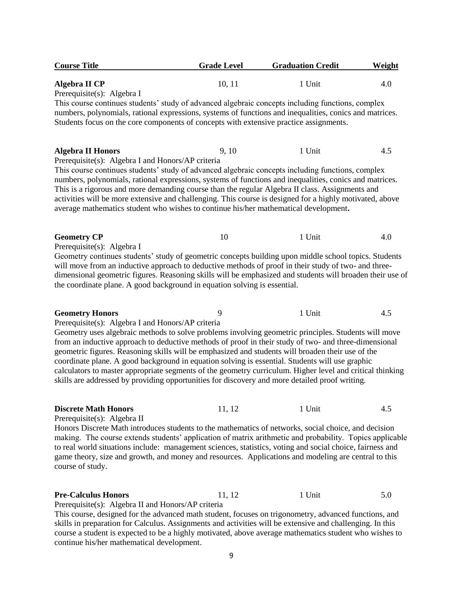| <b>Course Title</b>                                                                                                                                                                                                                                                                                                                                                                                                                                                                                                                                                                                                                                                                       | <b>Grade Level</b> | <b>Graduation Credit</b> | <b>Weight</b> |
|-------------------------------------------------------------------------------------------------------------------------------------------------------------------------------------------------------------------------------------------------------------------------------------------------------------------------------------------------------------------------------------------------------------------------------------------------------------------------------------------------------------------------------------------------------------------------------------------------------------------------------------------------------------------------------------------|--------------------|--------------------------|---------------|
| Algebra II CP                                                                                                                                                                                                                                                                                                                                                                                                                                                                                                                                                                                                                                                                             | 10, 11             | 1 Unit                   | 4.0           |
| Prerequisite(s): Algebra I<br>This course continues students' study of advanced algebraic concepts including functions, complex<br>numbers, polynomials, rational expressions, systems of functions and inequalities, conics and matrices.                                                                                                                                                                                                                                                                                                                                                                                                                                                |                    |                          |               |
| Students focus on the core components of concepts with extensive practice assignments.                                                                                                                                                                                                                                                                                                                                                                                                                                                                                                                                                                                                    |                    |                          |               |
| <b>Algebra II Honors</b><br>Prerequisite(s): Algebra I and Honors/AP criteria                                                                                                                                                                                                                                                                                                                                                                                                                                                                                                                                                                                                             | 9, 10              | 1 Unit                   | 4.5           |
| This course continues students' study of advanced algebraic concepts including functions, complex<br>numbers, polynomials, rational expressions, systems of functions and inequalities, conics and matrices.<br>This is a rigorous and more demanding course than the regular Algebra II class. Assignments and<br>activities will be more extensive and challenging. This course is designed for a highly motivated, above<br>average mathematics student who wishes to continue his/her mathematical development.                                                                                                                                                                       |                    |                          |               |
| <b>Geometry CP</b><br>Prerequisite(s): Algebra I                                                                                                                                                                                                                                                                                                                                                                                                                                                                                                                                                                                                                                          | 10                 | 1 Unit                   | 4.0           |
| Geometry continues students' study of geometric concepts building upon middle school topics. Students<br>will move from an inductive approach to deductive methods of proof in their study of two- and three-<br>dimensional geometric figures. Reasoning skills will be emphasized and students will broaden their use of<br>the coordinate plane. A good background in equation solving is essential.                                                                                                                                                                                                                                                                                   |                    |                          |               |
| <b>Geometry Honors</b>                                                                                                                                                                                                                                                                                                                                                                                                                                                                                                                                                                                                                                                                    | 9                  | 1 Unit                   | 4.5           |
| Prerequisite(s): Algebra I and Honors/AP criteria<br>Geometry uses algebraic methods to solve problems involving geometric principles. Students will move<br>from an inductive approach to deductive methods of proof in their study of two- and three-dimensional<br>geometric figures. Reasoning skills will be emphasized and students will broaden their use of the<br>coordinate plane. A good background in equation solving is essential. Students will use graphic<br>calculators to master appropriate segments of the geometry curriculum. Higher level and critical thinking<br>skills are addressed by providing opportunities for discovery and more detailed proof writing. |                    |                          |               |
| <b>Discrete Math Honors</b><br>Prerequisite(s): Algebra II                                                                                                                                                                                                                                                                                                                                                                                                                                                                                                                                                                                                                                | 11, 12             | 1 Unit                   | 4.5           |
| Honors Discrete Math introduces students to the mathematics of networks, social choice, and decision<br>making. The course extends students' application of matrix arithmetic and probability. Topics applicable<br>to real world situations include: management sciences, statistics, voting and social choice, fairness and<br>game theory, size and growth, and money and resources. Applications and modeling are central to this<br>course of study.                                                                                                                                                                                                                                 |                    |                          |               |
| <b>Pre-Calculus Honors</b>                                                                                                                                                                                                                                                                                                                                                                                                                                                                                                                                                                                                                                                                | 11, 12             | 1 Unit                   | 5.0           |
| Prerequisite(s): Algebra II and Honors/AP criteria<br>This course, designed for the advanced math student, focuses on trigonometry, advanced functions, and<br>skills in preparation for Calculus. Assignments and activities will be extensive and challenging. In this                                                                                                                                                                                                                                                                                                                                                                                                                  |                    |                          |               |

skills in preparation for Calculus. Assignments and activities will be extensive and challenging. In this course a student is expected to be a highly motivated, above average mathematics student who wishes to continue his/her mathematical development.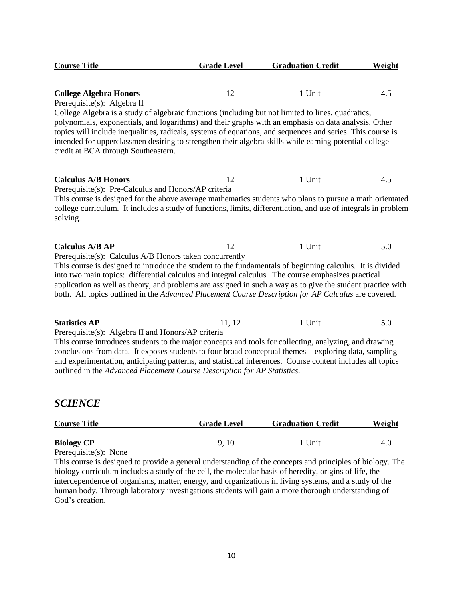| <b>Course Title</b>                                                                                                                                                                                                                                                                                                                                                                                                                                                       | <b>Grade Level</b> | <b>Graduation Credit</b> | Weight |
|---------------------------------------------------------------------------------------------------------------------------------------------------------------------------------------------------------------------------------------------------------------------------------------------------------------------------------------------------------------------------------------------------------------------------------------------------------------------------|--------------------|--------------------------|--------|
|                                                                                                                                                                                                                                                                                                                                                                                                                                                                           |                    |                          |        |
| <b>College Algebra Honors</b>                                                                                                                                                                                                                                                                                                                                                                                                                                             | 12                 | 1 Unit                   | 4.5    |
| Prerequisite(s): Algebra II                                                                                                                                                                                                                                                                                                                                                                                                                                               |                    |                          |        |
| College Algebra is a study of algebraic functions (including but not limited to lines, quadratics,<br>polynomials, exponentials, and logarithms) and their graphs with an emphasis on data analysis. Other<br>topics will include inequalities, radicals, systems of equations, and sequences and series. This course is<br>intended for upperclassmen desiring to strengthen their algebra skills while earning potential college<br>credit at BCA through Southeastern. |                    |                          |        |
| <b>Calculus A/B Honors</b>                                                                                                                                                                                                                                                                                                                                                                                                                                                | 12                 | 1 Unit                   | 4.5    |
| Prerequisite(s): Pre-Calculus and Honors/AP criteria<br>This course is designed for the above average mathematics students who plans to pursue a math orientated<br>college curriculum. It includes a study of functions, limits, differentiation, and use of integrals in problem<br>solving.                                                                                                                                                                            |                    |                          |        |
| <b>Calculus A/B AP</b>                                                                                                                                                                                                                                                                                                                                                                                                                                                    | 12                 | 1 Unit                   | 5.0    |
| Prerequisite(s): Calculus A/B Honors taken concurrently                                                                                                                                                                                                                                                                                                                                                                                                                   |                    |                          |        |
| This course is designed to introduce the student to the fundamentals of beginning calculus. It is divided<br>into two main topics: differential calculus and integral calculus. The course emphasizes practical<br>application as well as theory, and problems are assigned in such a way as to give the student practice with<br>both. All topics outlined in the Advanced Placement Course Description for AP Calculus are covered.                                     |                    |                          |        |
| <b>Statistics AP</b>                                                                                                                                                                                                                                                                                                                                                                                                                                                      | 11, 12             | 1 Unit                   | 5.0    |
| Prerequisite(s): Algebra II and Honors/AP criteria                                                                                                                                                                                                                                                                                                                                                                                                                        |                    |                          |        |
| This course introduces students to the major concepts and tools for collecting, analyzing, and drawing                                                                                                                                                                                                                                                                                                                                                                    |                    |                          |        |
| conclusions from data. It exposes students to four broad conceptual themes – exploring data, sampling                                                                                                                                                                                                                                                                                                                                                                     |                    |                          |        |
| and experimentation, anticipating patterns, and statistical inferences. Course content includes all topics                                                                                                                                                                                                                                                                                                                                                                |                    |                          |        |
| outlined in the Advanced Placement Course Description for AP Statistics.                                                                                                                                                                                                                                                                                                                                                                                                  |                    |                          |        |

#### *SCIENCE*

| <b>Course Title</b>                                                             | <b>Grade Level</b> | <b>Graduation Credit</b> | Weight |
|---------------------------------------------------------------------------------|--------------------|--------------------------|--------|
| <b>Biology CP</b>                                                               | 9.10               | . Unit                   | 4.0    |
| $\sum_{i=1}^n \sum_{i=1}^n \sum_{j=1}^n \sum_{j=1}^n \sum_{j=1}^n \sum_{j=1}^n$ |                    |                          |        |

Prerequisite(s): None

This course is designed to provide a general understanding of the concepts and principles of biology. The biology curriculum includes a study of the cell, the molecular basis of heredity, origins of life, the interdependence of organisms, matter, energy, and organizations in living systems, and a study of the human body. Through laboratory investigations students will gain a more thorough understanding of God's creation.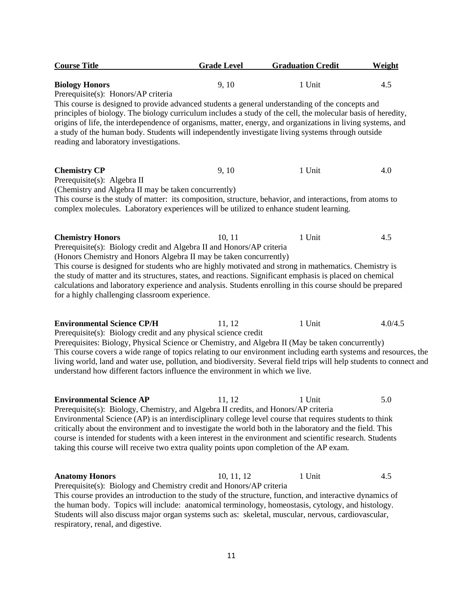| <b>Course Title</b>                                                                                                                                                                                                                                                                                                                                                                                                                                                                                                                                    | <b>Grade Level</b> | <b>Graduation Credit</b> | Weight  |
|--------------------------------------------------------------------------------------------------------------------------------------------------------------------------------------------------------------------------------------------------------------------------------------------------------------------------------------------------------------------------------------------------------------------------------------------------------------------------------------------------------------------------------------------------------|--------------------|--------------------------|---------|
| <b>Biology Honors</b><br>Prerequisite(s): Honors/AP criteria                                                                                                                                                                                                                                                                                                                                                                                                                                                                                           | 9, 10              | 1 Unit                   | 4.5     |
| This course is designed to provide advanced students a general understanding of the concepts and<br>principles of biology. The biology curriculum includes a study of the cell, the molecular basis of heredity,<br>origins of life, the interdependence of organisms, matter, energy, and organizations in living systems, and<br>a study of the human body. Students will independently investigate living systems through outside<br>reading and laboratory investigations.                                                                         |                    |                          |         |
| <b>Chemistry CP</b><br>Prerequisite(s): Algebra II<br>(Chemistry and Algebra II may be taken concurrently)                                                                                                                                                                                                                                                                                                                                                                                                                                             | 9, 10              | 1 Unit                   | 4.0     |
| This course is the study of matter: its composition, structure, behavior, and interactions, from atoms to<br>complex molecules. Laboratory experiences will be utilized to enhance student learning.                                                                                                                                                                                                                                                                                                                                                   |                    |                          |         |
| <b>Chemistry Honors</b><br>Prerequisite(s): Biology credit and Algebra II and Honors/AP criteria<br>(Honors Chemistry and Honors Algebra II may be taken concurrently)                                                                                                                                                                                                                                                                                                                                                                                 | 10, 11             | 1 Unit                   | 4.5     |
| This course is designed for students who are highly motivated and strong in mathematics. Chemistry is<br>the study of matter and its structures, states, and reactions. Significant emphasis is placed on chemical<br>calculations and laboratory experience and analysis. Students enrolling in this course should be prepared<br>for a highly challenging classroom experience.                                                                                                                                                                      |                    |                          |         |
| <b>Environmental Science CP/H</b><br>Prerequisite(s): Biology credit and any physical science credit<br>Prerequisites: Biology, Physical Science or Chemistry, and Algebra II (May be taken concurrently)<br>This course covers a wide range of topics relating to our environment including earth systems and resources, the<br>living world, land and water use, pollution, and biodiversity. Several field trips will help students to connect and<br>understand how different factors influence the environment in which we live.                  | 11, 12             | 1 Unit                   | 4.0/4.5 |
| <b>Environmental Science AP</b><br>Prerequisite(s): Biology, Chemistry, and Algebra II credits, and Honors/AP criteria<br>Environmental Science (AP) is an interdisciplinary college level course that requires students to think<br>critically about the environment and to investigate the world both in the laboratory and the field. This<br>course is intended for students with a keen interest in the environment and scientific research. Students<br>taking this course will receive two extra quality points upon completion of the AP exam. | 11, 12             | 1 Unit                   | 5.0     |
| <b>Anatomy Honors</b><br>Prerequisite(s): Biology and Chemistry credit and Honors/AP criteria<br>This course provides an introduction to the study of the structure, function, and interactive dynamics of<br>the human body. Topics will include: anatomical terminology, homeostasis, cytology, and histology.<br>Students will also discuss major organ systems such as: skeletal, muscular, nervous, cardiovascular,                                                                                                                               | 10, 11, 12         | 1 Unit                   | 4.5     |

respiratory, renal, and digestive.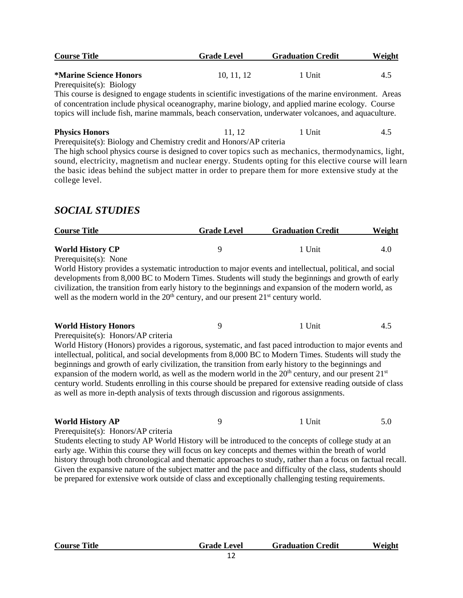| <b>Course Title</b>                                                                                      | <b>Grade Level</b> | <b>Graduation Credit</b> | Weight |
|----------------------------------------------------------------------------------------------------------|--------------------|--------------------------|--------|
| <i>*Marine Science Honors</i>                                                                            | 10, 11, 12         | 1 Unit                   | 4.5    |
| Prerequisite $(s)$ : Biology                                                                             |                    |                          |        |
| This course is designed to engage students in scientific investigations of the marine environment. Areas |                    |                          |        |
| of concentration include physical oceanography, marine biology, and applied marine ecology. Course       |                    |                          |        |
| topics will include fish, marine mammals, beach conservation, underwater volcanoes, and aquaculture.     |                    |                          |        |
| <b>Physics Honors</b>                                                                                    | 11.12              | 1 Unit                   | 4.5    |
| Prerequisite(s): Biology and Chemistry credit and Honors/AP criteria                                     |                    |                          |        |
| The high school physics course is designed to cover topics such as mechanics, thermodynamics, light,     |                    |                          |        |

The high school physics course is designed to cover topics such as mechanics, thermodynamics, light, sound, electricity, magnetism and nuclear energy. Students opting for this elective course will learn the basic ideas behind the subject matter in order to prepare them for more extensive study at the college level.

### *SOCIAL STUDIES*

| <b>Course Title</b>                                                                                                                                                                                                                                                                                                                                                                                                                                                                                                                  | <b>Grade Level</b> | <b>Graduation Credit</b> | <b>Weight</b> |
|--------------------------------------------------------------------------------------------------------------------------------------------------------------------------------------------------------------------------------------------------------------------------------------------------------------------------------------------------------------------------------------------------------------------------------------------------------------------------------------------------------------------------------------|--------------------|--------------------------|---------------|
| <b>World History CP</b>                                                                                                                                                                                                                                                                                                                                                                                                                                                                                                              | 9                  | 1 Unit                   | 4.0           |
| Prerequisite(s): None                                                                                                                                                                                                                                                                                                                                                                                                                                                                                                                |                    |                          |               |
| World History provides a systematic introduction to major events and intellectual, political, and social<br>developments from 8,000 BC to Modern Times. Students will study the beginnings and growth of early<br>civilization, the transition from early history to the beginnings and expansion of the modern world, as<br>well as the modern world in the $20th$ century, and our present $21st$ century world.                                                                                                                   |                    |                          |               |
| <b>World History Honors</b>                                                                                                                                                                                                                                                                                                                                                                                                                                                                                                          | 9                  | 1 Unit                   | 4.5           |
| Prerequisite(s): Honors/AP criteria                                                                                                                                                                                                                                                                                                                                                                                                                                                                                                  |                    |                          |               |
| World History (Honors) provides a rigorous, systematic, and fast paced introduction to major events and                                                                                                                                                                                                                                                                                                                                                                                                                              |                    |                          |               |
| intellectual, political, and social developments from 8,000 BC to Modern Times. Students will study the<br>beginnings and growth of early civilization, the transition from early history to the beginnings and<br>expansion of the modern world, as well as the modern world in the $20th$ century, and our present $21st$<br>century world. Students enrolling in this course should be prepared for extensive reading outside of class<br>as well as more in-depth analysis of texts through discussion and rigorous assignments. |                    |                          |               |
| <b>World History AP</b>                                                                                                                                                                                                                                                                                                                                                                                                                                                                                                              | 9                  | 1 Unit                   | 5.0           |
| Prerequisite(s): Honors/AP criteria                                                                                                                                                                                                                                                                                                                                                                                                                                                                                                  |                    |                          |               |
| Students electing to study AP World History will be introduced to the concepts of college study at an                                                                                                                                                                                                                                                                                                                                                                                                                                |                    |                          |               |
| early age. Within this course they will focus on key concepts and themes within the breath of world                                                                                                                                                                                                                                                                                                                                                                                                                                  |                    |                          |               |
| history through both chronological and thematic approaches to study, rather than a focus on factual recall.<br>Given the expansive nature of the subject matter and the pace and difficulty of the class, students should                                                                                                                                                                                                                                                                                                            |                    |                          |               |
| be prepared for extensive work outside of class and exceptionally challenging testing requirements.                                                                                                                                                                                                                                                                                                                                                                                                                                  |                    |                          |               |

| <b>Course Title</b> | <b>Grade Level</b> | <b>Graduation Credit</b> | Weight |
|---------------------|--------------------|--------------------------|--------|
|                     |                    |                          |        |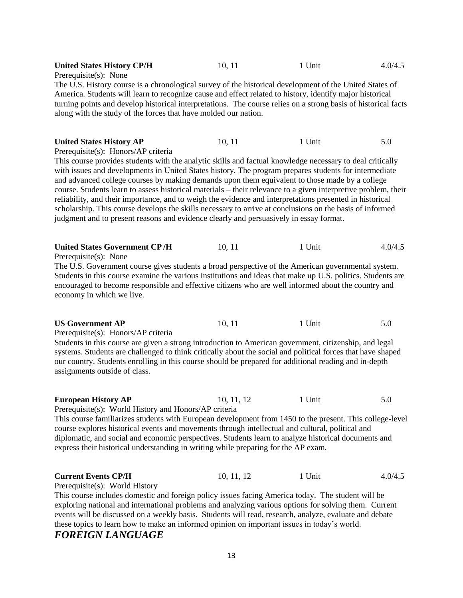| <b>United States History CP/H</b><br>Prerequisite(s): None                                                                                                                                                                                                                                                                                                                                                                                                                                                                                                                                                                                                                                                                                                                                                                         | 10, 11     | 1 Unit | 4.0/4.5 |
|------------------------------------------------------------------------------------------------------------------------------------------------------------------------------------------------------------------------------------------------------------------------------------------------------------------------------------------------------------------------------------------------------------------------------------------------------------------------------------------------------------------------------------------------------------------------------------------------------------------------------------------------------------------------------------------------------------------------------------------------------------------------------------------------------------------------------------|------------|--------|---------|
| The U.S. History course is a chronological survey of the historical development of the United States of<br>America. Students will learn to recognize cause and effect related to history, identify major historical<br>turning points and develop historical interpretations. The course relies on a strong basis of historical facts<br>along with the study of the forces that have molded our nation.                                                                                                                                                                                                                                                                                                                                                                                                                           |            |        |         |
| <b>United States History AP</b><br>Prerequisite(s): Honors/AP criteria<br>This course provides students with the analytic skills and factual knowledge necessary to deal critically<br>with issues and developments in United States history. The program prepares students for intermediate<br>and advanced college courses by making demands upon them equivalent to those made by a college<br>course. Students learn to assess historical materials – their relevance to a given interpretive problem, their<br>reliability, and their importance, and to weigh the evidence and interpretations presented in historical<br>scholarship. This course develops the skills necessary to arrive at conclusions on the basis of informed<br>judgment and to present reasons and evidence clearly and persuasively in essay format. | 10, 11     | 1 Unit | 5.0     |
| <b>United States Government CP/H</b><br>Prerequisite(s): None<br>The U.S. Government course gives students a broad perspective of the American governmental system.<br>Students in this course examine the various institutions and ideas that make up U.S. politics. Students are<br>encouraged to become responsible and effective citizens who are well informed about the country and<br>economy in which we live.                                                                                                                                                                                                                                                                                                                                                                                                             | 10, 11     | 1 Unit | 4.0/4.5 |
| <b>US Government AP</b><br>Prerequisite(s): Honors/AP criteria<br>Students in this course are given a strong introduction to American government, citizenship, and legal<br>systems. Students are challenged to think critically about the social and political forces that have shaped<br>our country. Students enrolling in this course should be prepared for additional reading and in-depth<br>assignments outside of class.                                                                                                                                                                                                                                                                                                                                                                                                  | 10, 11     | 1 Unit | 5.0     |
| <b>European History AP</b><br>Prerequisite(s): World History and Honors/AP criteria<br>This course familiarizes students with European development from 1450 to the present. This college-level<br>course explores historical events and movements through intellectual and cultural, political and<br>diplomatic, and social and economic perspectives. Students learn to analyze historical documents and<br>express their historical understanding in writing while preparing for the AP exam.                                                                                                                                                                                                                                                                                                                                  | 10, 11, 12 | 1 Unit | 5.0     |
| <b>Current Events CP/H</b><br>Prerequisite(s): World History<br>This course includes domestic and foreign policy issues facing America today. The student will be<br>exploring national and international problems and analyzing various options for solving them. Current<br>events will be discussed on a weekly basis. Students will read, research, analyze, evaluate and debate<br>these topics to learn how to make an informed opinion on important issues in today's world.                                                                                                                                                                                                                                                                                                                                                | 10, 11, 12 | 1 Unit | 4.0/4.5 |

#### *FOREIGN LANGUAGE*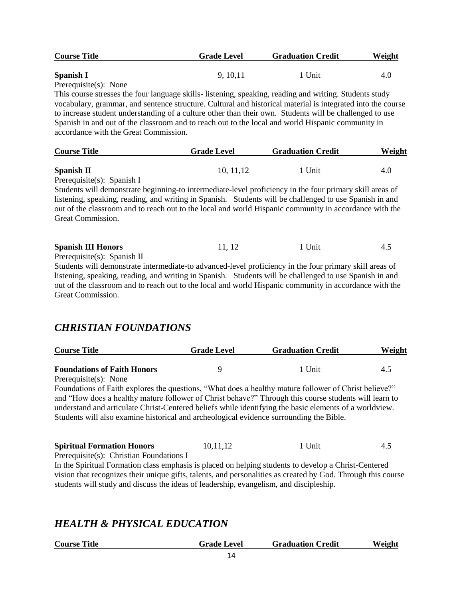| <b>Course Title</b>   | <b>Grade Level</b> | <b>Graduation Credit</b> | Weight |
|-----------------------|--------------------|--------------------------|--------|
| Spanish I             | 9.10.11            | 1 Unit                   | 4.0    |
| Prerequisite(s): None |                    |                          |        |

This course stresses the four language skills- listening, speaking, reading and writing. Students study vocabulary, grammar, and sentence structure. Cultural and historical material is integrated into the course to increase student understanding of a culture other than their own. Students will be challenged to use Spanish in and out of the classroom and to reach out to the local and world Hispanic community in accordance with the Great Commission.

| <b>Course Title</b> | <b>Grade Level</b> | <b>Graduation Credit</b> |     |
|---------------------|--------------------|--------------------------|-----|
|                     |                    |                          |     |
| <b>Spanish II</b>   | 10, 11, 12         | 1 Unit                   | 4.U |

Prerequisite(s): Spanish I

Students will demonstrate beginning-to intermediate-level proficiency in the four primary skill areas of listening, speaking, reading, and writing in Spanish. Students will be challenged to use Spanish in and out of the classroom and to reach out to the local and world Hispanic community in accordance with the Great Commission.

| <b>Spanish III Honors</b>                       | 11. 12 | <sup>1</sup> Unit |  |
|-------------------------------------------------|--------|-------------------|--|
| $D_{nonconicitation}(\alpha)$ , $C_{nonich}$ II |        |                   |  |

Prerequisite(s): Spanish II

Students will demonstrate intermediate-to advanced-level proficiency in the four primary skill areas of listening, speaking, reading, and writing in Spanish. Students will be challenged to use Spanish in and out of the classroom and to reach out to the local and world Hispanic community in accordance with the Great Commission.

#### *CHRISTIAN FOUNDATIONS*

| <b>Course Title</b>                | <b>Grade Level</b> | <b>Graduation Credit</b> | Weight |
|------------------------------------|--------------------|--------------------------|--------|
| <b>Foundations of Faith Honors</b> |                    | Unit                     | 4.:    |
| $\sim$                             |                    |                          |        |

Prerequisite(s): None

Foundations of Faith explores the questions, "What does a healthy mature follower of Christ believe?" and "How does a healthy mature follower of Christ behave?" Through this course students will learn to understand and articulate Christ-Centered beliefs while identifying the basic elements of a worldview. Students will also examine historical and archeological evidence surrounding the Bible.

| <b>Spiritual Formation Honors</b>               | 10,11,12 | ' Unit | 4.5 |
|-------------------------------------------------|----------|--------|-----|
| $D$ perception $(a)$ , Christian Equipmention I |          |        |     |

Prerequisite(s): Christian Foundations I

In the Spiritual Formation class emphasis is placed on helping students to develop a Christ-Centered vision that recognizes their unique gifts, talents, and personalities as created by God. Through this course students will study and discuss the ideas of leadership, evangelism, and discipleship.

#### *HEALTH & PHYSICAL EDUCATION*

| <b>Course Title</b> | <b>Grade Level</b> | <b>Graduation Credit</b> | Weight |
|---------------------|--------------------|--------------------------|--------|
|                     |                    |                          |        |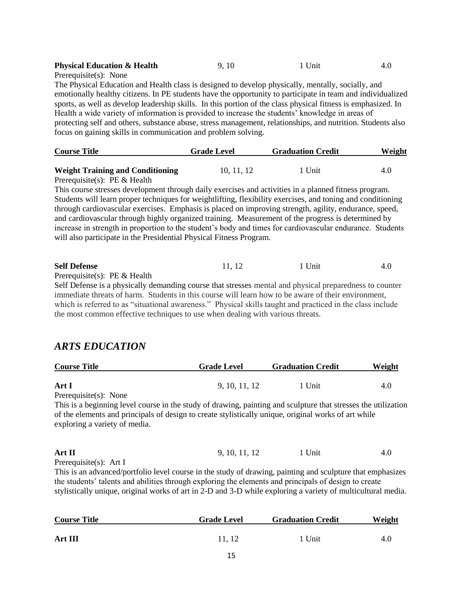| <b>Physical Education &amp; Health</b> | 9.10 | 1 Unit |  |
|----------------------------------------|------|--------|--|
| _                                      |      |        |  |

Prerequisite(s): None

The Physical Education and Health class is designed to develop physically, mentally, socially, and emotionally healthy citizens. In PE students have the opportunity to participate in team and individualized sports, as well as develop leadership skills. In this portion of the class physical fitness is emphasized. In Health a wide variety of information is provided to increase the students' knowledge in areas of protecting self and others, substance abuse, stress management, relationships, and nutrition. Students also focus on gaining skills in communication and problem solving.

| <b>Course Title</b>                     | <b>Grade Level</b> | <b>Graduation Credit</b> | Weight |
|-----------------------------------------|--------------------|--------------------------|--------|
| <b>Weight Training and Conditioning</b> | 10, 11, 12         | 1 Unit                   | 4.0    |

Prerequisite(s): PE & Health

This course stresses development through daily exercises and activities in a planned fitness program. Students will learn proper techniques for weightlifting, flexibility exercises, and toning and conditioning through cardiovascular exercises. Emphasis is placed on improving strength, agility, endurance, speed, and cardiovascular through highly organized training. Measurement of the progress is determined by increase in strength in proportion to the student's body and times for cardiovascular endurance. Students will also participate in the Presidential Physical Fitness Program.

| 4.0 |
|-----|
|     |

Prerequisite(s): PE & Health

Self Defense is a physically demanding course that stresses mental and physical preparedness to counter immediate threats of harm. Students in this course will learn how to be aware of their environment, which is referred to as "situational awareness." Physical skills taught and practiced in the class include the most common effective techniques to use when dealing with various threats.

#### *ARTS EDUCATION*

| <b>Course Title</b> | <b>Grade Level</b> | <b>Graduation Credit</b> | <b>Weight</b> |
|---------------------|--------------------|--------------------------|---------------|
| Art I               | 9, 10, 11, 12      | 1 Unit                   | 4.0           |
| .<br>$\sim$         |                    |                          |               |

Prerequisite(s): None

This is a beginning level course in the study of drawing, painting and sculpture that stresses the utilization of the elements and principals of design to create stylistically unique, original works of art while exploring a variety of media.

#### **Art II** 9, 10, 11, 12 1 Unit 4.0

Prerequisite(s): Art I

This is an advanced/portfolio level course in the study of drawing, painting and sculpture that emphasizes the students' talents and abilities through exploring the elements and principals of design to create stylistically unique, original works of art in 2-D and 3-D while exploring a variety of multicultural media.

| <b>Course Title</b> | <b>Grade Level</b> | <b>Graduation Credit</b> | Weight |
|---------------------|--------------------|--------------------------|--------|
| <b>Art III</b>      | 11.12              | 1 Unit                   | 4.0    |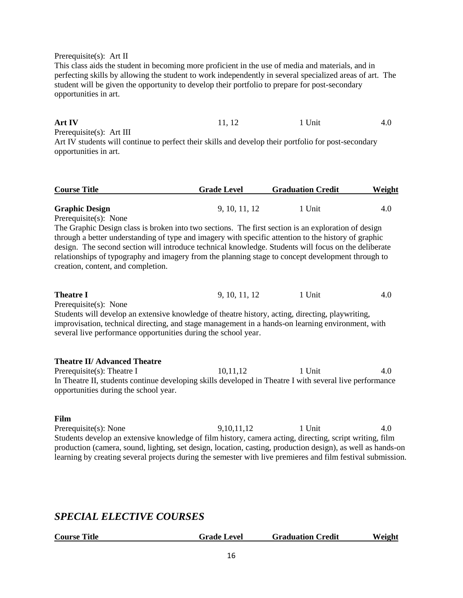#### Prerequisite(s): Art II

This class aids the student in becoming more proficient in the use of media and materials, and in perfecting skills by allowing the student to work independently in several specialized areas of art. The student will be given the opportunity to develop their portfolio to prepare for post-secondary opportunities in art.

**Art IV** 11, 12 1 Unit 4.0

Prerequisite(s): Art III Art IV students will continue to perfect their skills and develop their portfolio for post-secondary opportunities in art.

| <b>Course Title</b>   | <b>Grade Level</b> | <b>Graduation Credit</b> | Weight |
|-----------------------|--------------------|--------------------------|--------|
|                       |                    |                          |        |
| <b>Graphic Design</b> | 9, 10, 11, 12      | 1 Unit                   |        |

Prerequisite(s): None

The Graphic Design class is broken into two sections. The first section is an exploration of design through a better understanding of type and imagery with specific attention to the history of graphic design. The second section will introduce technical knowledge. Students will focus on the deliberate relationships of typography and imagery from the planning stage to concept development through to creation, content, and completion.

| 9, 10, 11, 12 | Unit | 4.0 |
|---------------|------|-----|
|               |      |     |

Prerequisite(s): None

Students will develop an extensive knowledge of theatre history, acting, directing, playwriting, improvisation, technical directing, and stage management in a hands-on learning environment, with several live performance opportunities during the school year.

#### **Theatre II/ Advanced Theatre**

Prerequisite(s): Theatre I 10,11,12 1 Unit 4.0 In Theatre II, students continue developing skills developed in Theatre I with several live performance opportunities during the school year.

#### **Film**

Prerequisite(s): None 9,10,11,12 1 Unit 4.0 Students develop an extensive knowledge of film history, camera acting, directing, script writing, film production (camera, sound, lighting, set design, location, casting, production design), as well as hands-on learning by creating several projects during the semester with live premieres and film festival submission.

#### *SPECIAL ELECTIVE COURSES*

| <b>Course Title</b> | <b>Grade Level</b> | <b>Graduation Credit</b> | Weight |
|---------------------|--------------------|--------------------------|--------|
|                     |                    |                          |        |